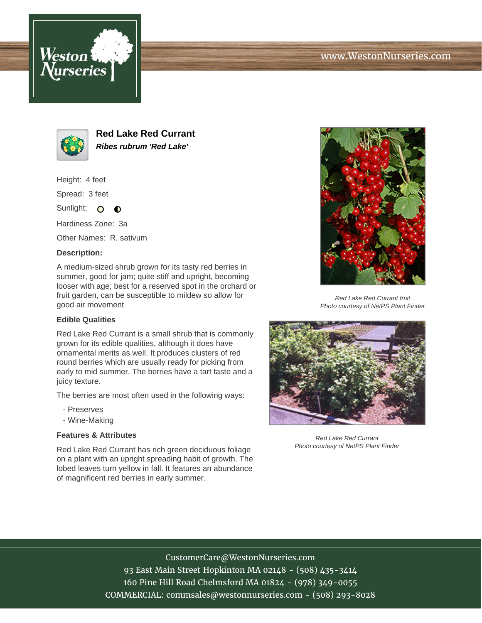





**Red Lake Red Currant Ribes rubrum 'Red Lake'**

Height: 4 feet

Spread: 3 feet

Sunlight: O **O** 

Hardiness Zone: 3a

Other Names: R. sativum

#### **Description:**

A medium-sized shrub grown for its tasty red berries in summer, good for jam; quite stiff and upright, becoming looser with age; best for a reserved spot in the orchard or fruit garden, can be susceptible to mildew so allow for good air movement

### **Edible Qualities**

Red Lake Red Currant is a small shrub that is commonly grown for its edible qualities, although it does have ornamental merits as well. It produces clusters of red round berries which are usually ready for picking from early to mid summer. The berries have a tart taste and a juicy texture.

The berries are most often used in the following ways:

- Preserves
- Wine-Making

## **Features & Attributes**

Red Lake Red Currant has rich green deciduous foliage on a plant with an upright spreading habit of growth. The lobed leaves turn yellow in fall. It features an abundance of magnificent red berries in early summer.



Red Lake Red Currant fruit Photo courtesy of NetPS Plant Finder



Red Lake Red Currant Photo courtesy of NetPS Plant Finder

# CustomerCare@WestonNurseries.com

93 East Main Street Hopkinton MA 02148 - (508) 435-3414 160 Pine Hill Road Chelmsford MA 01824 - (978) 349-0055 COMMERCIAL: commsales@westonnurseries.com - (508) 293-8028